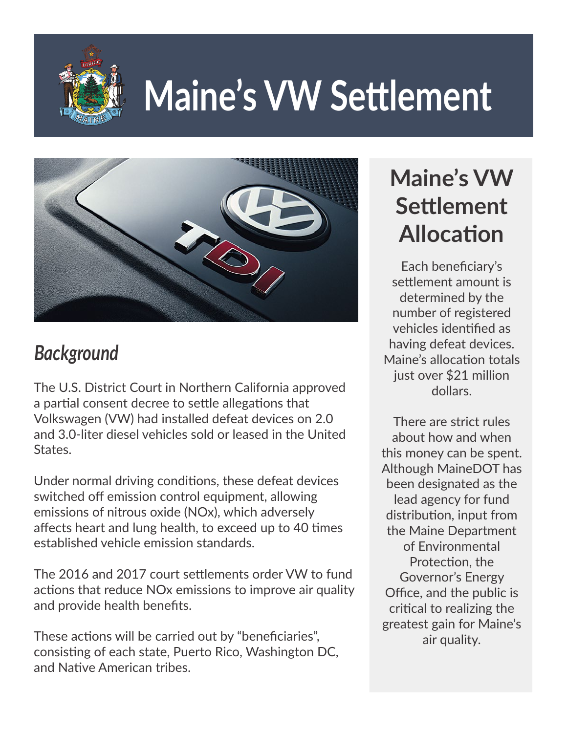

# **Maine's VW Settlement**



## *Background*

The U.S. District Court in Northern California approved a partial consent decree to settle allegations that Volkswagen (VW) had installed defeat devices on 2.0 and 3.0-liter diesel vehicles sold or leased in the United States.

Under normal driving conditions, these defeat devices switched off emission control equipment, allowing emissions of nitrous oxide (NOx), which adversely affects heart and lung health, to exceed up to 40 times established vehicle emission standards.

The 2016 and 2017 court settlements order VW to fund actions that reduce NOx emissions to improve air quality and provide health benefits.

These actions will be carried out by "beneficiaries", consisting of each state, Puerto Rico, Washington DC, and Native American tribes.

## **Maine's VW Settlement Allocation**

Each beneficiary's settlement amount is determined by the number of registered vehicles identified as having defeat devices. Maine's allocation totals just over \$21 million dollars.

There are strict rules about how and when this money can be spent. Although MaineDOT has been designated as the lead agency for fund distribution, input from the Maine Department of Environmental Protection, the Governor's Energy Office, and the public is critical to realizing the greatest gain for Maine's air quality.